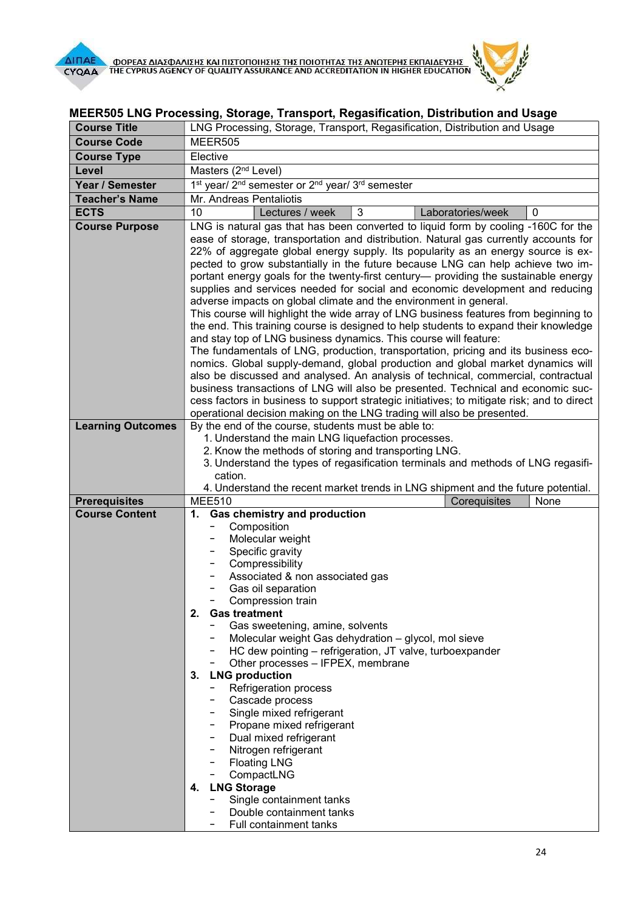

## MEER505 LNG Processing, Storage, Transport, Regasification, Distribution and Usage

| <b>Course Title</b>      | LNG Processing, Storage, Transport, Regasification, Distribution and Usage                                                                                             |
|--------------------------|------------------------------------------------------------------------------------------------------------------------------------------------------------------------|
| <b>Course Code</b>       | MEER505                                                                                                                                                                |
| <b>Course Type</b>       | Elective                                                                                                                                                               |
| Level                    | Masters (2 <sup>nd</sup> Level)                                                                                                                                        |
| Year / Semester          | 1 <sup>st</sup> year/ 2 <sup>nd</sup> semester or 2 <sup>nd</sup> year/ 3 <sup>rd</sup> semester                                                                       |
| <b>Teacher's Name</b>    | Mr. Andreas Pentaliotis                                                                                                                                                |
| <b>ECTS</b>              | 3<br>10<br>Laboratories/week<br>Lectures / week<br>0                                                                                                                   |
| <b>Course Purpose</b>    | LNG is natural gas that has been converted to liquid form by cooling -160C for the                                                                                     |
|                          | ease of storage, transportation and distribution. Natural gas currently accounts for                                                                                   |
|                          | 22% of aggregate global energy supply. Its popularity as an energy source is ex-                                                                                       |
|                          | pected to grow substantially in the future because LNG can help achieve two im-<br>portant energy goals for the twenty-first century— providing the sustainable energy |
|                          | supplies and services needed for social and economic development and reducing                                                                                          |
|                          | adverse impacts on global climate and the environment in general.                                                                                                      |
|                          | This course will highlight the wide array of LNG business features from beginning to                                                                                   |
|                          | the end. This training course is designed to help students to expand their knowledge                                                                                   |
|                          | and stay top of LNG business dynamics. This course will feature:                                                                                                       |
|                          | The fundamentals of LNG, production, transportation, pricing and its business eco-<br>nomics. Global supply-demand, global production and global market dynamics will  |
|                          | also be discussed and analysed. An analysis of technical, commercial, contractual                                                                                      |
|                          | business transactions of LNG will also be presented. Technical and economic suc-                                                                                       |
|                          | cess factors in business to support strategic initiatives; to mitigate risk; and to direct                                                                             |
|                          | operational decision making on the LNG trading will also be presented.                                                                                                 |
| <b>Learning Outcomes</b> | By the end of the course, students must be able to:                                                                                                                    |
|                          | 1. Understand the main LNG liquefaction processes.                                                                                                                     |
|                          | 2. Know the methods of storing and transporting LNG.<br>3. Understand the types of regasification terminals and methods of LNG regasifi-                               |
|                          | cation.                                                                                                                                                                |
|                          | 4. Understand the recent market trends in LNG shipment and the future potential.                                                                                       |
| <b>Prerequisites</b>     | <b>MEE510</b><br>Corequisites<br>None                                                                                                                                  |
| <b>Course Content</b>    | <b>Gas chemistry and production</b><br>1.                                                                                                                              |
|                          | Composition<br>Molecular weight                                                                                                                                        |
|                          | Specific gravity                                                                                                                                                       |
|                          | Compressibility                                                                                                                                                        |
|                          | Associated & non associated gas                                                                                                                                        |
|                          | Gas oil separation                                                                                                                                                     |
|                          | Compression train                                                                                                                                                      |
|                          | 2.<br><b>Gas treatment</b><br>Gas sweetening, amine, solvents                                                                                                          |
|                          | Molecular weight Gas dehydration - glycol, mol sieve                                                                                                                   |
|                          | - HC dew pointing – refrigeration, JT valve, turboexpander                                                                                                             |
|                          | Other processes - IFPEX, membrane                                                                                                                                      |
|                          | <b>LNG production</b><br>3.                                                                                                                                            |
|                          | <b>Refrigeration process</b>                                                                                                                                           |
|                          | - Cascade process<br>- Single mixed refrigerant                                                                                                                        |
|                          | Propane mixed refrigerant                                                                                                                                              |
|                          | Dual mixed refrigerant<br>Ξ.                                                                                                                                           |
|                          | Nitrogen refrigerant                                                                                                                                                   |
|                          | - Floating LNG                                                                                                                                                         |
|                          | CompactLNG                                                                                                                                                             |
|                          | <b>LNG Storage</b><br>4.                                                                                                                                               |
|                          | Single containment tanks<br>Double containment tanks                                                                                                                   |
|                          | Full containment tanks                                                                                                                                                 |